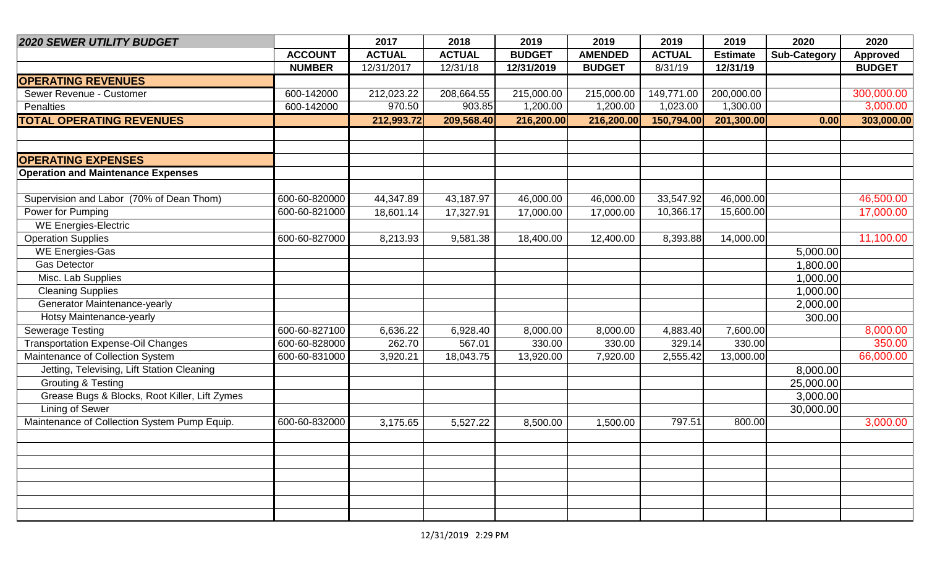| <b>2020 SEWER UTILITY BUDGET</b>              |                | 2017          | 2018          | 2019          | 2019           | 2019          | 2019            | 2020                | 2020            |
|-----------------------------------------------|----------------|---------------|---------------|---------------|----------------|---------------|-----------------|---------------------|-----------------|
|                                               | <b>ACCOUNT</b> | <b>ACTUAL</b> | <b>ACTUAL</b> | <b>BUDGET</b> | <b>AMENDED</b> | <b>ACTUAL</b> | <b>Estimate</b> | <b>Sub-Category</b> | <b>Approved</b> |
|                                               | <b>NUMBER</b>  | 12/31/2017    | 12/31/18      | 12/31/2019    | <b>BUDGET</b>  | 8/31/19       | 12/31/19        |                     | <b>BUDGET</b>   |
| <b>OPERATING REVENUES</b>                     |                |               |               |               |                |               |                 |                     |                 |
| Sewer Revenue - Customer                      | 600-142000     | 212,023.22    | 208,664.55    | 215,000.00    | 215,000.00     | 149,771.00    | 200,000.00      |                     | 300,000.00      |
| Penalties                                     | 600-142000     | 970.50        | 903.85        | 1,200.00      | 1,200.00       | 1,023.00      | 1,300.00        |                     | 3,000.00        |
| <b>TOTAL OPERATING REVENUES</b>               |                | 212,993.72    | 209,568.40    | 216,200.00    | 216,200.00     | 150,794.00    | 201,300.00      | 0.00                | 303,000.00      |
|                                               |                |               |               |               |                |               |                 |                     |                 |
|                                               |                |               |               |               |                |               |                 |                     |                 |
| <b>OPERATING EXPENSES</b>                     |                |               |               |               |                |               |                 |                     |                 |
| <b>Operation and Maintenance Expenses</b>     |                |               |               |               |                |               |                 |                     |                 |
|                                               |                |               |               |               |                |               |                 |                     |                 |
| Supervision and Labor (70% of Dean Thom)      | 600-60-820000  | 44,347.89     | 43,187.97     | 46,000.00     | 46,000.00      | 33,547.92     | 46,000.00       |                     | 46,500.00       |
| Power for Pumping                             | 600-60-821000  | 18,601.14     | 17,327.91     | 17,000.00     | 17,000.00      | 10,366.17     | 15,600.00       |                     | 17,000.00       |
| <b>WE Energies-Electric</b>                   |                |               |               |               |                |               |                 |                     |                 |
| <b>Operation Supplies</b>                     | 600-60-827000  | 8,213.93      | 9,581.38      | 18,400.00     | 12,400.00      | 8,393.88      | 14,000.00       |                     | 11,100.00       |
| <b>WE Energies-Gas</b>                        |                |               |               |               |                |               |                 | 5,000.00            |                 |
| <b>Gas Detector</b>                           |                |               |               |               |                |               |                 | 1,800.00            |                 |
| Misc. Lab Supplies                            |                |               |               |               |                |               |                 | 1,000.00            |                 |
| <b>Cleaning Supplies</b>                      |                |               |               |               |                |               |                 | 1,000.00            |                 |
| Generator Maintenance-yearly                  |                |               |               |               |                |               |                 | 2,000.00            |                 |
| Hotsy Maintenance-yearly                      |                |               |               |               |                |               |                 | 300.00              |                 |
| <b>Sewerage Testing</b>                       | 600-60-827100  | 6,636.22      | 6,928.40      | 8,000.00      | 8,000.00       | 4,883.40      | 7,600.00        |                     | 8,000.00        |
| <b>Transportation Expense-Oil Changes</b>     | 600-60-828000  | 262.70        | 567.01        | 330.00        | 330.00         | 329.14        | 330.00          |                     | 350.00          |
| Maintenance of Collection System              | 600-60-831000  | 3,920.21      | 18,043.75     | 13,920.00     | 7,920.00       | 2,555.42      | 13,000.00       |                     | 66,000.00       |
| Jetting, Televising, Lift Station Cleaning    |                |               |               |               |                |               |                 | 8,000.00            |                 |
| <b>Grouting &amp; Testing</b>                 |                |               |               |               |                |               |                 | 25,000.00           |                 |
| Grease Bugs & Blocks, Root Killer, Lift Zymes |                |               |               |               |                |               |                 | 3,000.00            |                 |
| Lining of Sewer                               |                |               |               |               |                |               |                 | 30,000.00           |                 |
| Maintenance of Collection System Pump Equip.  | 600-60-832000  | 3,175.65      | 5,527.22      | 8,500.00      | 1,500.00       | 797.51        | 800.00          |                     | 3,000.00        |
|                                               |                |               |               |               |                |               |                 |                     |                 |
|                                               |                |               |               |               |                |               |                 |                     |                 |
|                                               |                |               |               |               |                |               |                 |                     |                 |
|                                               |                |               |               |               |                |               |                 |                     |                 |
|                                               |                |               |               |               |                |               |                 |                     |                 |
|                                               |                |               |               |               |                |               |                 |                     |                 |
|                                               |                |               |               |               |                |               |                 |                     |                 |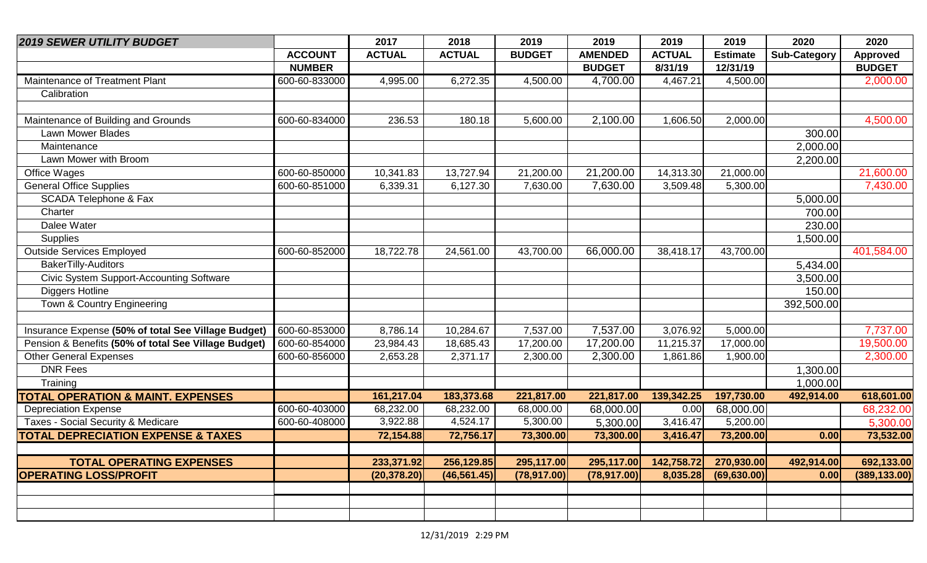| <b>2019 SEWER UTILITY BUDGET</b>                     |                | 2017          | 2018          | 2019          | 2019           | 2019          | 2019            | 2020                | 2020            |
|------------------------------------------------------|----------------|---------------|---------------|---------------|----------------|---------------|-----------------|---------------------|-----------------|
|                                                      | <b>ACCOUNT</b> | <b>ACTUAL</b> | <b>ACTUAL</b> | <b>BUDGET</b> | <b>AMENDED</b> | <b>ACTUAL</b> | <b>Estimate</b> | <b>Sub-Category</b> | <b>Approved</b> |
|                                                      | <b>NUMBER</b>  |               |               |               | <b>BUDGET</b>  | 8/31/19       | 12/31/19        |                     | <b>BUDGET</b>   |
| Maintenance of Treatment Plant                       | 600-60-833000  | 4,995.00      | 6,272.35      | 4,500.00      | 4,700.00       | 4,467.21      | 4,500.00        |                     | 2,000.00        |
| Calibration                                          |                |               |               |               |                |               |                 |                     |                 |
|                                                      |                |               |               |               |                |               |                 |                     |                 |
| Maintenance of Building and Grounds                  | 600-60-834000  | 236.53        | 180.18        | 5,600.00      | 2,100.00       | 1,606.50      | 2,000.00        |                     | 4,500.00        |
| Lawn Mower Blades                                    |                |               |               |               |                |               |                 | 300.00              |                 |
| Maintenance                                          |                |               |               |               |                |               |                 | 2,000.00            |                 |
| Lawn Mower with Broom                                |                |               |               |               |                |               |                 | 2,200.00            |                 |
| Office Wages                                         | 600-60-850000  | 10,341.83     | 13,727.94     | 21,200.00     | 21,200.00      | 14,313.30     | 21,000.00       |                     | 21,600.00       |
| <b>General Office Supplies</b>                       | 600-60-851000  | 6,339.31      | 6,127.30      | 7,630.00      | 7,630.00       | 3,509.48      | 5,300.00        |                     | 7,430.00        |
| SCADA Telephone & Fax                                |                |               |               |               |                |               |                 | 5,000.00            |                 |
| Charter                                              |                |               |               |               |                |               |                 | 700.00              |                 |
| Dalee Water                                          |                |               |               |               |                |               |                 | 230.00              |                 |
| <b>Supplies</b>                                      |                |               |               |               |                |               |                 | 1,500.00            |                 |
| <b>Outside Services Employed</b>                     | 600-60-852000  | 18,722.78     | 24,561.00     | 43,700.00     | 66,000.00      | 38,418.17     | 43,700.00       |                     | 401,584.00      |
| BakerTilly-Auditors                                  |                |               |               |               |                |               |                 | 5,434.00            |                 |
| Civic System Support-Accounting Software             |                |               |               |               |                |               |                 | 3,500.00            |                 |
| <b>Diggers Hotline</b>                               |                |               |               |               |                |               |                 | 150.00              |                 |
| Town & Country Engineering                           |                |               |               |               |                |               |                 | 392,500.00          |                 |
|                                                      |                |               |               |               |                |               |                 |                     |                 |
| Insurance Expense (50% of total See Village Budget)  | 600-60-853000  | 8,786.14      | 10,284.67     | 7,537.00      | 7,537.00       | 3,076.92      | 5,000.00        |                     | 7,737.00        |
| Pension & Benefits (50% of total See Village Budget) | 600-60-854000  | 23,984.43     | 18,685.43     | 17,200.00     | 17,200.00      | 11,215.37     | 17,000.00       |                     | 19,500.00       |
| <b>Other General Expenses</b>                        | 600-60-856000  | 2,653.28      | 2,371.17      | 2,300.00      | 2,300.00       | 1,861.86      | 1,900.00        |                     | 2,300.00        |
| <b>DNR Fees</b>                                      |                |               |               |               |                |               |                 | 1,300.00            |                 |
| Training                                             |                |               |               |               |                |               |                 | 1,000.00            |                 |
| <b>TOTAL OPERATION &amp; MAINT. EXPENSES</b>         |                | 161,217.04    | 183,373.68    | 221,817.00    | 221,817.00     | 139,342.25    | 197,730.00      | 492,914.00          | 618,601.00      |
| <b>Depreciation Expense</b>                          | 600-60-403000  | 68,232.00     | 68,232.00     | 68,000.00     | 68,000.00      | 0.00          | 68,000.00       |                     | 68,232.00       |
| Taxes - Social Security & Medicare                   | 600-60-408000  | 3,922.88      | 4,524.17      | 5,300.00      | 5,300.00       | 3,416.47      | 5,200.00        |                     | 5,300.00        |
| <b>TOTAL DEPRECIATION EXPENSE &amp; TAXES</b>        |                | 72,154.88     | 72,756.17     | 73,300.00     | 73,300.00      | 3,416.47      | 73,200.00       | 0.00                | 73,532.00       |
|                                                      |                |               |               |               |                |               |                 |                     |                 |
| <b>TOTAL OPERATING EXPENSES</b>                      |                | 233,371.92    | 256,129.85    | 295,117.00    | 295,117.00     | 142,758.72    | 270,930.00      | 492,914.00          | 692,133.00      |
| <b>OPERATING LOSS/PROFIT</b>                         |                | (20, 378.20)  | (46, 561.45)  | (78, 917.00)  | (78, 917.00)   | 8,035.28      | (69, 630.00)    | 0.00                | (389, 133.00)   |
|                                                      |                |               |               |               |                |               |                 |                     |                 |
|                                                      |                |               |               |               |                |               |                 |                     |                 |
|                                                      |                |               |               |               |                |               |                 |                     |                 |